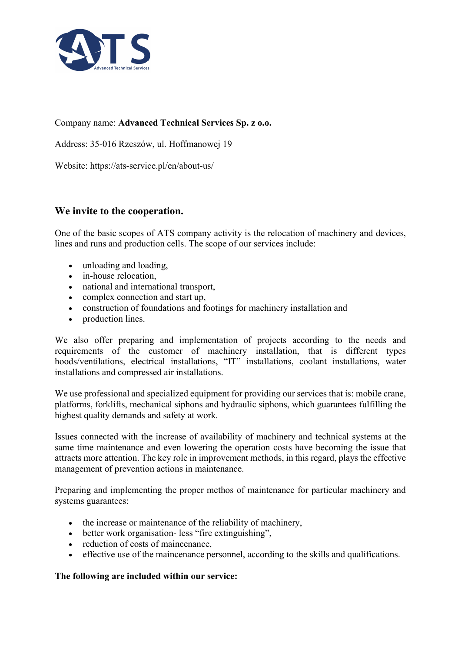

## Company name: Advanced Technical Services Sp. z o.o.

Address: 35-016 Rzeszów, ul. Hoffmanowej 19

Website: https://ats-service.pl/en/about-us/

# We invite to the cooperation.

One of the basic scopes of ATS company activity is the relocation of machinery and devices, lines and runs and production cells. The scope of our services include:

- unloading and loading,
- in-house relocation.
- national and international transport,
- complex connection and start up,
- construction of foundations and footings for machinery installation and
- production lines.

We also offer preparing and implementation of projects according to the needs and requirements of the customer of machinery installation, that is different types hoods/ventilations, electrical installations, "IT" installations, coolant installations, water installations and compressed air installations.

We use professional and specialized equipment for providing our services that is: mobile crane, platforms, forklifts, mechanical siphons and hydraulic siphons, which guarantees fulfilling the highest quality demands and safety at work.

Issues connected with the increase of availability of machinery and technical systems at the same time maintenance and even lowering the operation costs have becoming the issue that attracts more attention. The key role in improvement methods, in this regard, plays the effective management of prevention actions in maintenance.

Preparing and implementing the proper methos of maintenance for particular machinery and systems guarantees:

- the increase or maintenance of the reliability of machinery,
- better work organisation- less "fire extinguishing",
- reduction of costs of maincenance,
- effective use of the maincenance personnel, according to the skills and qualifications.

#### The following are included within our service: